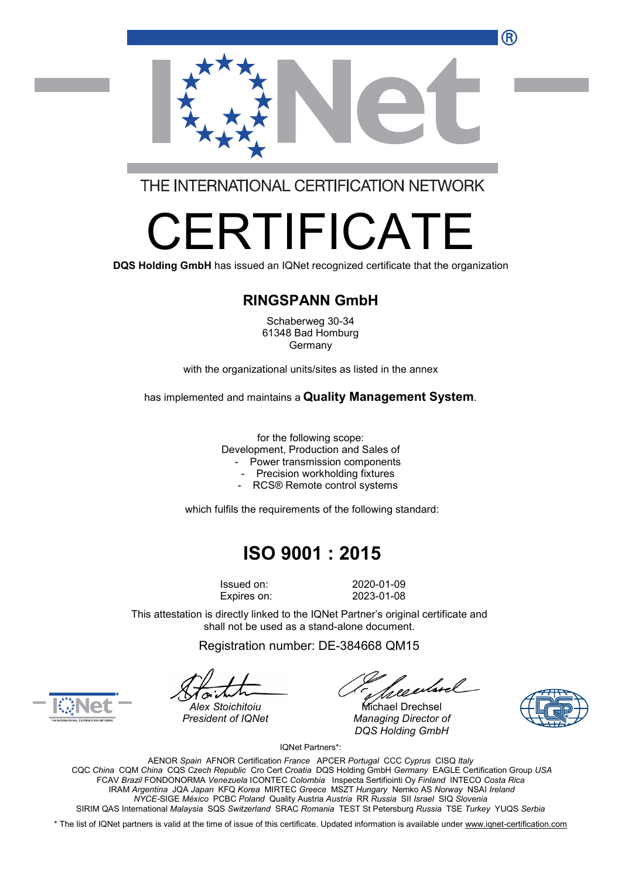R



THE INTERNATIONAL CERTIFICATION NETWORK

# RTIFICA

**DQS Holding GmbH** has issued an IQNet recognized certificate that the organization

#### **RINGSPANN GmbH**

Schaberweg 30-34 61348 Bad Homburg Germany

with the organizational units/sites as listed in the annex

has implemented and maintains a **Quality Management System**.

for the following scope: Development, Production and Sales of

- Power transmission components
- Precision workholding fixtures
- RCS® Remote control systems

which fulfils the requirements of the following standard:

## **ISO 9001 : 2015**

Issued on: 2020-01-09

Expires on: 2023-01-08

This attestation is directly linked to the IQNet Partner's original certificate and shall not be used as a stand-alone document.

Registration number: DE-384668 QM15

Jeenhoel

*Alex Stoichitoiu* Michael Drechsel *President of IQNet Managing Director of DQS Holding GmbH*





IQNet Partners\*:

AENOR *Spain* AFNOR Certification *France* APCER *Portugal* CCC *Cyprus* CISQ *Italy* CQC *China* CQM *China* CQS *Czech Republic* Cro Cert *Croatia* DQS Holding GmbH *Germany* EAGLE Certification Group *USA* FCAV *Brazil* FONDONORMA *Venezuela* ICONTEC *Colombia* Inspecta Sertifiointi Oy *Finland* INTECO *Costa Rica* IRAM *Argentina* JQA *Japan* KFQ *Korea* MIRTEC *Greece* MSZT *Hungary* Nemko AS *Norway* NSAI *Ireland NYCE-*SIGE *México* PCBC *Poland* Quality Austria *Austria* RR *Russia* SII *Israel* SIQ *Slovenia* SIRIM QAS International *Malaysia* SQS *Switzerland* SRAC *Romania* TEST St Petersburg *Russia* TSE *Turkey* YUQS *Serbia*

\* The list of IQNet partners is valid at the time of issue of this certificate. Updated information is available under www.ignet-certification.com